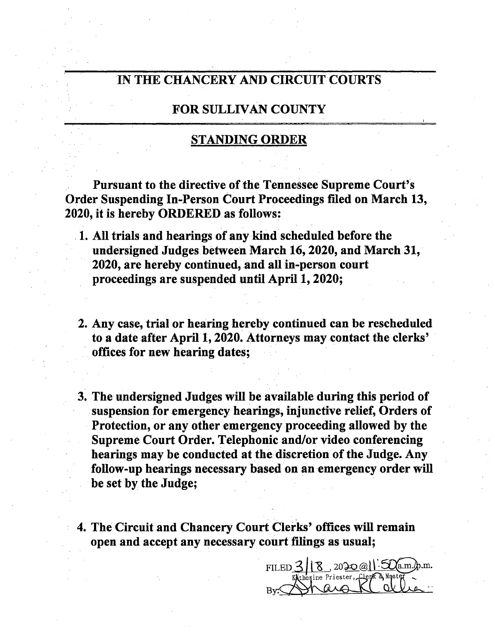## IN THE CHANCERY AND CIRCUIT COURTS

## FOR SULLIVAN COUNTY

## STANDING ORDER

Pursuant to the directive of the Tennessee Supreme Court's Order Suspending In-Person Court Proceedings filed on March 13, 2020, it is hereby ORDERED as follows:

- 1. All trials and hearings of any kind scheduled before the undersigned Judges. between March 16, 2020, and March 31, 2020, are hereby continued, and all in-person court proceedings are suspended until April l, 2020;
- 2. Any case, trial or hearing hereby continued can be rescheduled to <sup>a</sup> date after April l, 2020. Attorneys may contact the clerks' offices for new hearing dates;
- 3. The undersigned Judges will be available during this period of suspension for emergency hearings, injunctive relief, Orders of Protection, or any other emergency proceeding allowed by the Supreme Court Order. Telephonic and/or video conferencing hearings may be conducted at the discretion of the Judge. Any follow-up hearings necessary based on an emergency order will be set by the Judge;
- 4. The Circuit and Chancery Court Clerks' offices will remain open and accept any necessary court filings as usual;

 $FILED_3||8, 2020@||.50am.b.m.$ Kathesine Priester, Clerk & Master By.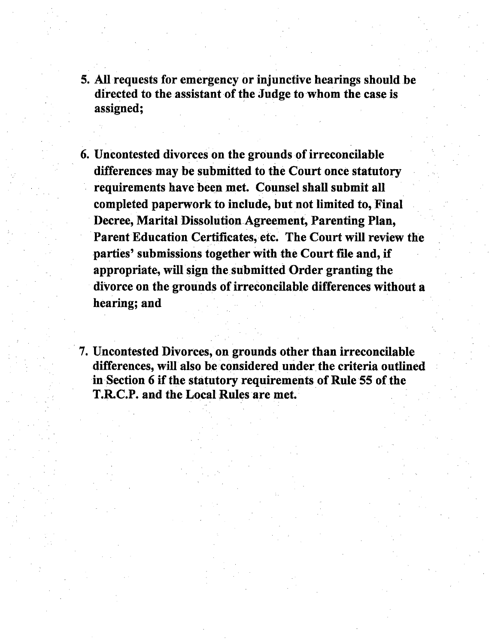- 5. All requests for emergency or injunctive hearings should.be directed to the assistant of the Judge to whom the case is assigned;
- 6. Uncontested divorces on the grounds of irreconcilable differences may be submitted to the Court once statutory requirements have been met. Counsel shall submit all completed paperwork to include, but not limited to, Final Decree, Marital Dissolution Agreement, Parenting Plan, Parent Education Certificates, etc. The Court will review the parties' submissions together with the Court file and, if appropriate, will sign the submitted 0rder granting the divorce on the grounds of irreconcilable differences without a hearing; and
- 7. Uncontested Divorces, on grounds other than irreconcilable differences, will also be considered under the criteria outlined in Section <sup>6</sup> if the statutory requirements of Rule <sup>55</sup> of the T.RC.P. and the Local Rules are met.